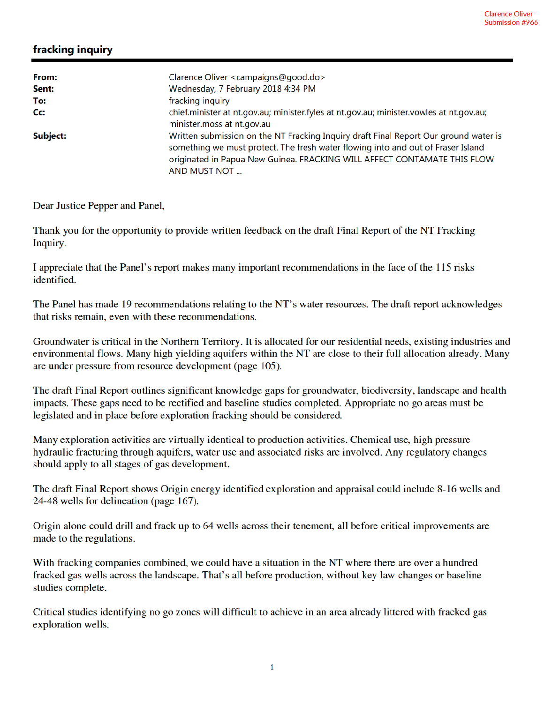## fracking inquiry

| From:    | Clarence Oliver <campaigns@good.do></campaigns@good.do>                                                                                                                                                                                                              |
|----------|----------------------------------------------------------------------------------------------------------------------------------------------------------------------------------------------------------------------------------------------------------------------|
| Sent:    | Wednesday, 7 February 2018 4:34 PM                                                                                                                                                                                                                                   |
| To:      | fracking inquiry                                                                                                                                                                                                                                                     |
| Cc:      | chief.minister at nt.gov.au; minister.fyles at nt.gov.au; minister.vowles at nt.gov.au;<br>minister.moss at nt.gov.au                                                                                                                                                |
| Subject: | Written submission on the NT Fracking Inquiry draft Final Report Our ground water is<br>something we must protect. The fresh water flowing into and out of Fraser Island<br>originated in Papua New Guinea. FRACKING WILL AFFECT CONTAMATE THIS FLOW<br>AND MUST NOT |

Dear Justice Pepper and Panel,

Thank you for the opportunity to provide written feedback on the draft Final Report of the NT Fracking Inquiry.

I appreciate that the Panel's report makes many important recommendations in the face of the 115 risks identified.

The Panel has made 19 recommendations relating to the NT's water resources. The draft report acknowledges that risks remain, even with these recommendations.

Groundwater is critical in the Northern Territory. It is allocated for our residential needs, existing industries and environmental flows. Many high yielding aquifers within the NT are close to their full allocation already. Many are under pressure from resource development (page 105).

The draft Final Report outlines significant knowledge gaps for groundwater, biodiversity, landscape and health impacts. These gaps need to be rectified and baseline studies completed. Appropriate no go areas must be legislated and in place before exploration fracking should be considered.

Many exploration activities are virtually identical to production activities. Chemical use, high pressure hydraulic fracturing through aquifers, water use and associated risks are involved. Any regulatory changes should apply to all stages of gas development.

The draft Final Report shows Origin energy identified exploration and appraisal could include 8-16 wells and 24-48 wells for delineation (page 167).

Origin alone could drill and frack up to 64 wells across their tenement, all before critical improvements are made to the regulations.

With fracking companies combined, we could have a situation in the NT where there are over a hundred fracked gas wells across the landscape. That's all before production, without key law changes or baseline studies complete.

Critical studies identifying no go zones will difficult to achieve in an area already littered with fracked gas exploration wells.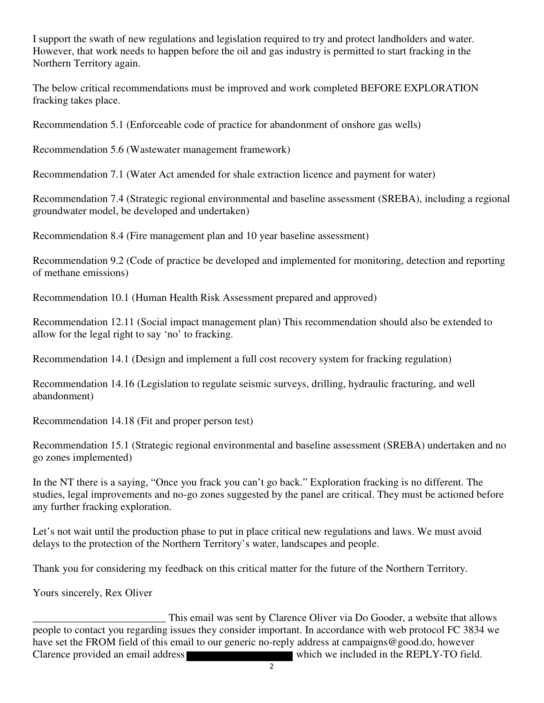I support the swath of new regulations and legislation required to try and protect landholders and water. However, that work needs to happen before the oil and gas industry is permitted to start fracking in the Northern Territory again.

The below critical recommendations must be improved and work completed BEFORE EXPLORATION fracking takes place.

Recommendation 5.1 (Enforceable code of practice for abandonment of onshore gas wells)

Recommendation 5.6 (Wastewater management framework)

Recommendation 7.1 (Water Act amended for shale extraction licence and payment for water)

Recommendation 7.4 (Strategic regional environmental and baseline assessment (SREBA), including a regional groundwater model, be developed and undertaken)

Recommendation 8.4 (Fire management plan and 10 year baseline assessment)

Recommendation 9.2 (Code of practice be developed and implemented for monitoring, detection and reporting of methane emissions)

Recommendation 10.1 (Human Health Risk Assessment prepared and approved)

Recommendation 12.11 (Social impact management plan) This recommendation should also be extended to allow for the legal right to say 'no' to fracking.

Recommendation 14.1 (Design and implement a full cost recovery system for fracking regulation)

Recommendation 14.16 (Legislation to regulate seismic surveys, drilling, hydraulic fracturing, and well abandonment)

Recommendation 14.18 (Fit and proper person test)

Recommendation 15.1 (Strategic regional environmental and baseline assessment (SREBA) undertaken and no go zones implemented)

In the NT there is a saying, "Once you frack you can't go back." Exploration fracking is no different. The studies, legal improvements and no-go zones suggested by the panel are critical. They must be actioned before any further fracking exploration.

Let's not wait until the production phase to put in place critical new regulations and laws. We must avoid delays to the protection of the Northern Territory's water, landscapes and people.

Thank you for considering my feedback on this critical matter for the future of the Northern Territory.

Yours sincerely, Rex Oliver

This email was sent by Clarence Oliver via Do Gooder, a website that allows<br>people to contact you regarding issues they consider important. In accordance with web protocol FC 3834 we have set the FROM field of this email to our generic no-reply address at campaigns@good.do, however Clarence provided an email address which we included in the REPLY-TO field.